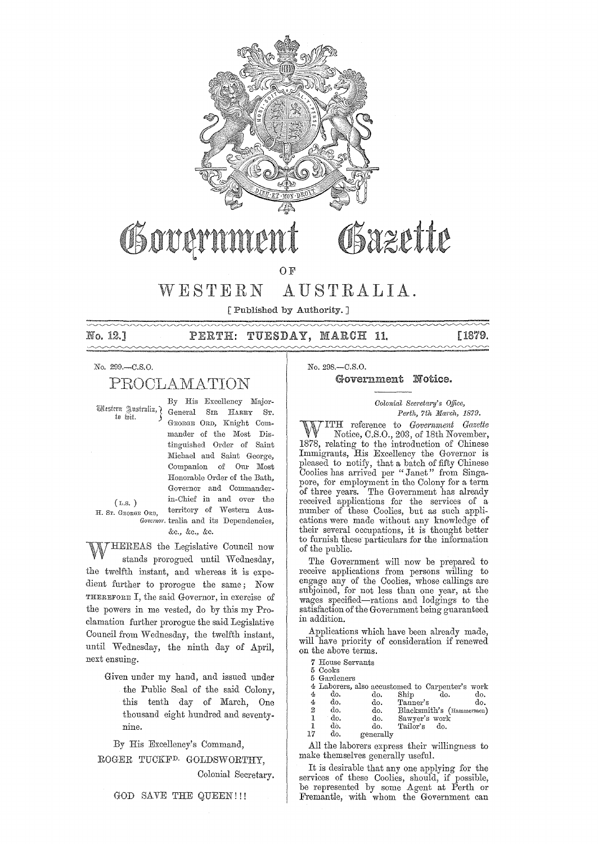

# Govam

## **OF**

#### WESTERN AUSTRALIA.

Published by Authority. 7

No. 12.7

#### TUESDAY, MARCH 11.  $\mathtt{PERTH:}$

[1879.  $\sim$ 

#### No. 299.-C.S.O.

## PROCLAMATION

Mestern Justralia, 7 to wit.

 $(L.s. )$ 

H. Sr. GEORGE ORD,

By His Excellency Major-General SIR HARRY ST. GEORGE ORD, Knight Commander of the Most Distinguished Order of Saint Michael and Saint George, Companion of Our Most Honorable Order of the Bath, Governor and Commanderin-Chief in and over the territory of Western Aus-Governor tralia and its Dependencies, &c., &c., &c.

HEREAS the Legislative Council now stands prorogued until Wednesday, the twelfth instant, and whereas it is expedient further to prorogue the same; Now THEREFORE I, the said Governor, in exercise of the powers in me vested, do by this my Proclamation further prorogue the said Legislative Council from Wednesday, the twelfth instant, until Wednesday, the ninth day of April, next ensuing.

> Given under my hand, and issued under the Public Seal of the said Colony. this tenth day of March,  $One$ thousand eight hundred and seventynine.

By His Excellency's Command,

ROGER TUCKF<sup>D.</sup> GOLDSWORTHY,

Colonial Secretary.

No. 298,-C.S.O.

#### Government Notice.

Osazette

#### Colonial Secretary's Office, Perth, 7th March, 1879.

TTH reference to Government Gazette Notice, C.S.O., 203, of 18th November, 1878, relating to the introduction of Chinese Immigrants, His Excellency the Governor is pleased to notify, that a batch of fifty Chinese<br>Coolies has arrived per "Janet" from Singapore, for employment in the Colony for a term of three years. The Government has already received applications for the services of a number of these Coolies, but as such applications were made without any knowledge of their several occupations, it is thought better to furnish these particulars for the information of the public.

The Government will now be prepared to receive applications from persons willing to engage any of the Coolies, whose callings are subjoined, for not less than one year, at the wages specified—rations and lodgings to the satisfaction of the Government being guaranteed in addition.

Applications which have been already made, will have priority of consideration if renewed on the above terms.

7 House Servants

| 5 Cooks        |
|----------------|
| $5.$ Gordonove |

|                  | o uaruchers |                                                 |               |                          |     |
|------------------|-------------|-------------------------------------------------|---------------|--------------------------|-----|
|                  |             | 4 Laborers, also accustomed to Carpenter's work |               |                          |     |
| 4                | do.         | do.                                             | Ship          | do.                      | do. |
| 4                | do.         | do.                                             | Tanner's      |                          | do. |
| $\boldsymbol{2}$ | do.         | do.                                             |               | Blacksmith's (Hammermen) |     |
| -1               | do.         | do.                                             | Sawyer's work |                          |     |
| -1               | do.         | do.                                             | Tailor's      | do.                      |     |
| 17               | a.          | 0.02280                                         |               |                          |     |

generally

All the laborers express their willingness to make themselves generally useful.

It is desirable that any one applying for the services of these Coolies, should, if possible,<br>be represented by some Agent at Perth or Fremantle, with whom the Government can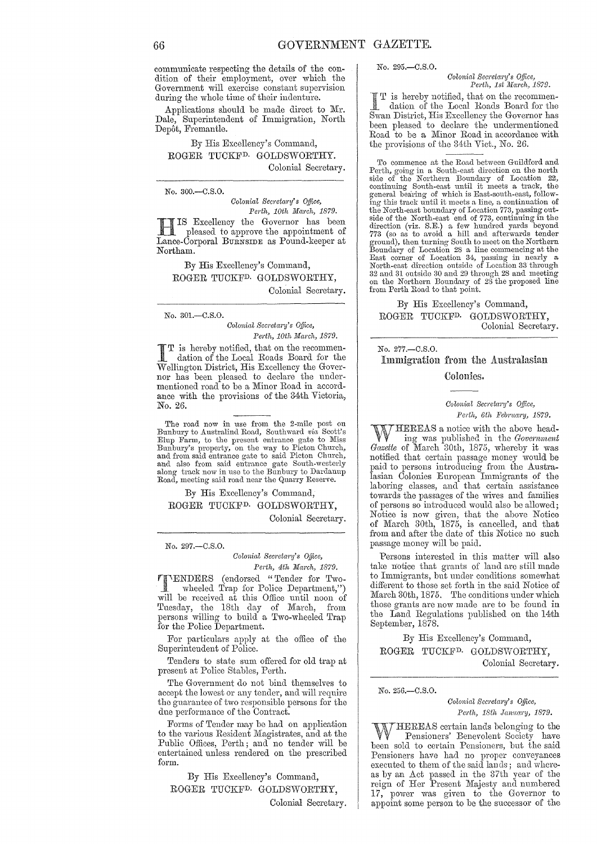communicate respecting the details of the condition of their employment, over which the Government will exercise constant supervision during the whole time of their indenture.

Applications should be made direct to Mr. Dale, Superintendent of Immigration, North Depôt, Fremantle.

By His Excellency's Command, ROGER TUCKFD. GOLDSWORTHY. Colonial Secretary.

No.300.-C.S.0.

 $Colonial$  Secretary's Office, *Perth, 10th March, 1879.* 

HIS Excellency the Governor has been pleased to approve the appointment of Lance-Corporal BURNSIDE as Pound-keeper at Northam.

By His Excellency's Command, ROGER TUCKFD. GOLDSWORTHY, Colonial Secretary.

No. 301.-C.S.0.

*Colonial Secreta1'Y's Office, Perth, 10th March, 1879.* 

I T is hereby notified, that on the recommen- dation of the Local Roads Board for the Wellington District, His Excellency the Governor has been pleased to declare the undermentioned road to be a Minor Road in accordance with the provisions of the 34th Victoria, No. 26.

The road now in use from the 2-mile post on Bunbury to Australind Road, Southward *via* Scott's Elup Farm, to the present entrance gate to Miss Bunbury's property, on the way to Picton Church, and from said entrance gate to said Picton Church, and also from said entrance gate South-westerly along track now in use to the Bunbury to Dardanup Road, meeting said road near the Quarry Reserve.

By His Excellency's Command, ROGER TUCKFD. GOLDSWORTHY, Colonial Secretary.

No. 297.-C.S.O.

*Colonial Secretary's Office, Perth, 4th March, 1879.* 

**TIMERS** (endorsed "Tender for Twowheeled Trap for Police Department,") will be received at this Office until noon of Tuesday, the 18th day of March, from persons willing to build a Two-wheeled Trap for the Police Department.

For particulars apply at the office of the Superintendent of Police.

Tenders to state sum offered for old trap at present at Police Stables, Perth.

The Government do not bind themselves to accept the lowest or any tender, and will require the guarantee of two responsible persons for the due performance of the Contract.

Forms of Tender may be had on application to the various Resident Magistrates, and at the Public Offices, Perth; and no tender will be entertained unless rendered on the prescribed form.

By His Excellency's Command, ROGER TUCKFD. GOLDSWORTHY, Colonial Secretary.

#### No. 295.-C.S.O.

 $Colonial$  Secretary's Office, *Perth, 1st March, 1879.* 

I T is hereby notified, that on the recommendation of the Local Roads Board for the Swan District, His Excellency the Governor has T is hereby notified, that on the recommen-<br>dation of the Local Roads Board for the been pleased to declare the undermentioned Road to be a Minor Road in accordance with the provisions of the 34th Vict., No. 26,

To commence at the Road between Guildford and Perth, going' in a South-east direction on the north side of the Northern Boundary of Location 22, continuing South-east until it meets a track, the general bearing of which is East-south-east, follow-<br>ing this track until it meets a line, a continuation of the North-east boundary of Location 773, passing out-side of the North-east end of 773, continuing in the direction (viz. S.E.) a few hunched yards beyond 773 (so as to avoid a hill and afterwards tender ground), then turning South to meet on the Northern<br>Boundary of Location 28 a line commencing at the<br>East corner of Location 34, passing in nearly a<br>North-east direction outside of Location 33 through<br>32 and 31 outside 30 on the Northern Boundary of 28 the proposed line from Perth Road to that point.

By His Excelleney's Command, ROGER TUCKFD. GOLDSWORTHY, Colonial Secretary.

## No. 277.-C.S.O. Immigration from the Australasian Colonies.

 $Colonial$  Secretary's Office, Perth, 6th February, 1879.

WHEREAS a notice with the above head-<br>ling was published in the *Government*<br>Courtto of Mansh 20th, 1975, whereby it was *Gazette* of March 30th, 1875, whereby it was notified that certain passage money would be paid to persons introducing from the Australasian Colonies European Immigrants of the laboring classes, and that certain assistance towards the passages of the wives and families of persons so introduced would also be allowed; Notice is now given, that the above Notice of March 30th, 1875, is cancelled, and that from and after the date of this Notice no such passage money will be paid.

Persons interested in this matter will also take notice that grants of land are still made to Immigrants, but under conditions somewhat different to those set forth in the said Notice of March 30th, 1875. The conditions under which those grants are now made are to be found in the Land Regulations published on the 14th September, 1878.

By His Excellency's Command, ROGER TUCKFD. GOLDSWORTHY, Colonial Secretary.

No. 256.-C.S.0.

*Colonial SeC)'eta1'y's Office, Perth, 18th Jamlco'y, 1879.* 

HEREAS certain lands belonging to the Pensioners' Benevolent Society have been sold to certain Pensioners, but the said Pensioners have had 110 proper conveyances executed to them of the said lan ds; and whereas by an Act passed in the 37th year of the reign of Her Present Majesty and numbered 17, power was given to the Governor to appoint some person to be the successor of the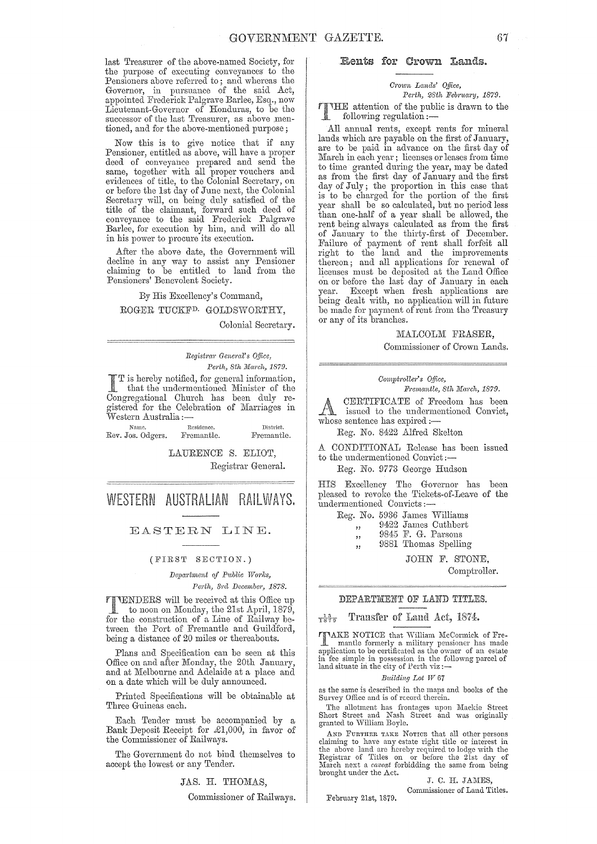last Treasurer of the above-named Society, for the purpose of executing conveyances to the Pensioners above referred to; and whereas the Governor, in pursuance of the said Act, appointed Frederick Palgrave Barlee, Esq., now Lieutenant-Governor of Honduras, to be the successor of the last Treasurer, as above mentioned, and for the above-mentioned purpose;

Now this is to give notice that if any Pensioner, entitled as above, will have a proper deed of conveyance prepared and send the same, together with all proper vouchers and evidences of title, to the Colonial Secretary, on or before the 1st day of June next, the Colonial Secretary will, on being duly satisfied of the title of the claimant, forward such deed of conveyance to the said Frederick Palgrave Barlee, for execution by him, and will do all in his power to procure its execution.

After the above date, the Government will decline in any way to assist any Pensioner claiming to be entitled to land from the Pensioners' Benevolent Society.

By His Excellency's Command, ROGER TUCKFD. GOLDSWORTHY,

Colonial Secretary.

*Registm1' Genem?:* s *Office, Perth, 8th March, 1879.* 

I I is hereby notified, for general information, that the undermentioned Minister of the Congregational Church has been duly registered for the Celebration of Marriages in  $\rm\breve{W}$ estern Australia ;—

| Name.             | Residence. | District.  |  |  |  |  |
|-------------------|------------|------------|--|--|--|--|
| Rev. Jos. Odgers. | Fremantle. | Fremantle. |  |  |  |  |

LAURENCE S. ELIOT, Registrar General.

WESTERN AUSTRALIAN RAILWAYS.

#### EASTERN LINE.

#### (FIRST SECTION.)

 $Department of Public Works,$ 

Perth, 3rd December, 1878.

TTENDERS will be received at this Office up<br>to noon on Monday, the 21st April, 1879,<br>for the construction of a Line of Beilway be for the construction of a Line of Railway between the Port of Fremantle and Guildford, being a distance of 20 miles or thereabouts.

Plans and Specification can be seen at this Office on and after Monday, the 20th January and at Melbourne and Adelaide at a place and on a date which will be duly announced.

Printed Specifications will be obtainable at Three Guineas each.

Each Tender must be accompanied by a Bank Deposit Receipt for £1,000, in favor of the Commissioner of Railways.

The Government do not bind themselves to accept the lowest or any Tender.

JAS. H. THOMAS,

Commissioner of Railways.

#### Rents for Crown Lands.

#### *Crown Lands' Office, Perth, 28th February, 1879.*

THE attention of the public is drawn to the following requlation following regulation:-

All annual rents, except rents for mineral lands which are payable on the first of January, are to be paid in advance on the first day of March in each year; licenses or leases from time to time granted during the year, may be dated as from the first day of January and the first day of July; the proportion in this case that is to be charged for the portion of the first year shall be so calculated, but no period less than one-half of a year shall be allowed, the rent being always calculated as from the first of January to the thirty-first of December. Failure of payment of rent shall forfeit all right to the land and the improvements thereon; and all applications for renewal of licenses must be deposited at the Land Office on or before the last day of January in each<br>year. Except when fresh applications are Except when fresh applications are being dealt with, no application will in future be made for payment of rent from the Treasury or any of its branches.

> MALCOLM FRASER, Commissioner of Crown Lands.

#### *COritpt,'oller's O.Dlce,*

 $Fremantle, 8th March, 1879.$ 

CERTIFICATE of Freedom has been issued to the undermentioned Convict, **We issued to the underm**<br>whose sentence has expired :-

Reg. No. 8422 Alfred Skelton

A CONDITIONAL Release has been issued to the undermentioned Convict:-

#### Reg. No. 9773 George Hudson

HIS Excellency The Governor has been pleased to revoke the Tickets-of-Leave of the undermentioned Convicts;-

Reg. No. 5936 James Williams

- "<br>" 9422 James Cuthbert
- "<br>.. 9845 F. G. Parsons
- ,, 9881 Thomas Spelling

JOHN F. STONE, Comptroller.

## DEPARTMENT OF LAND TITLES.

#### $\frac{13}{1879}$  Transfer of Land Act, 1874.

TAKE NOTICE that Ylilliam McCormick of Fre-mantle formerly a military pensioner has made application to be certificated as the owner of an estate in fee simple in possession in the followng parcel of land situate in the city of Perth viz :-

#### *Building Lot IV 67*

as the same is described in the maps and books of the Survey Office and is of record therein.

The allotment has frontages upon Mackie Street<br>Short Street and Nash Street and was originally<br>granted to William Boyle.

AND FURTHER TAKE NOTICE that all other persons claiming to have any estate right title or interest in the above land are hcreby required to lodge with the Registrar of Titles on or before the 21st day of March next a *caveat* forbidding the same from being brought under the Act.

J. C. H. JAMES, Commissioner of Land Titles,

February 21st, 1879.